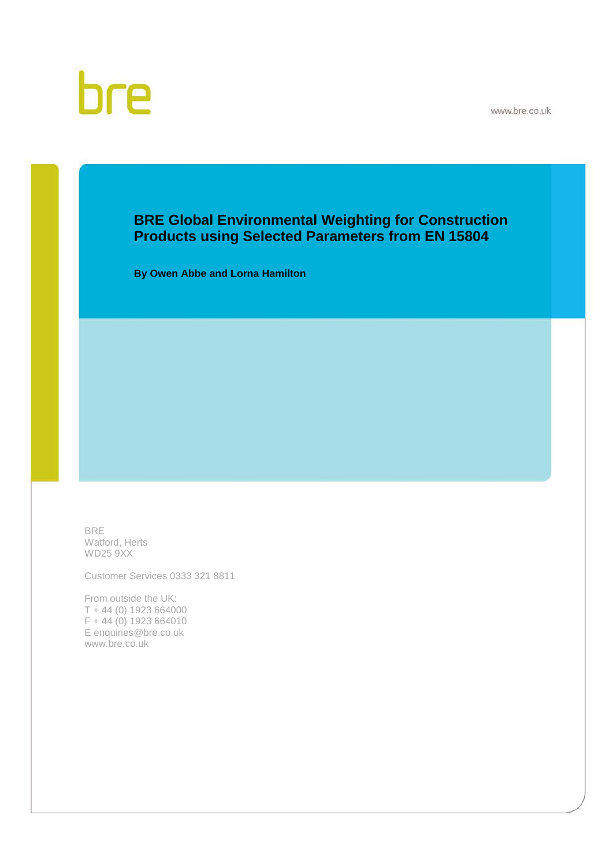

# bre

## **BRE Global Environmental Weighting for Construction Products using Selected Parameters from EN 15804**

**By Owen Abbe and Lorna Hamilton**

BRE Watford, Herts WD25 9XX

Customer Services 0333 321 8811

From outside the UK: T + 44 (0) 1923 664000 F + 44 (0) 1923 664010 E enquiries@bre.co.uk www.bre.co.uk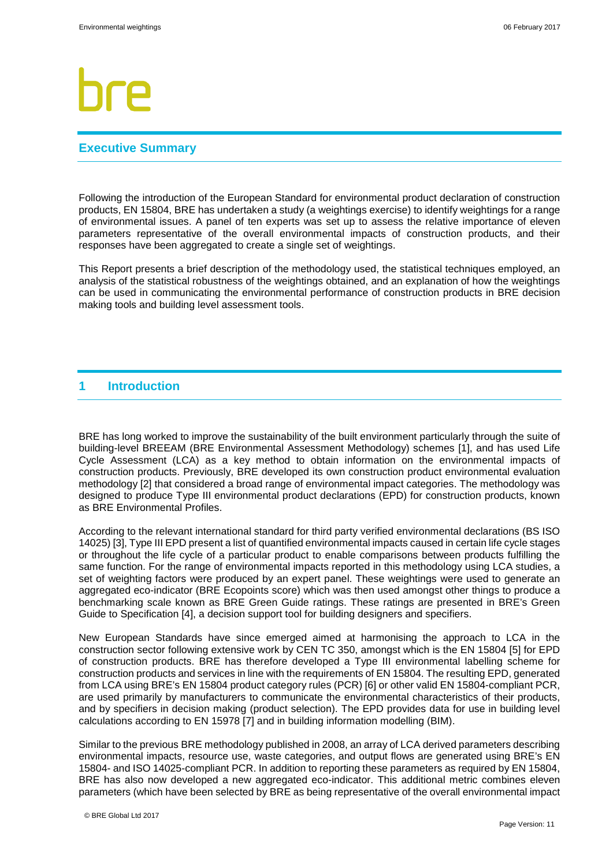### **Executive Summary**

Following the introduction of the European Standard for environmental product declaration of construction products, EN 15804, BRE has undertaken a study (a weightings exercise) to identify weightings for a range of environmental issues. A panel of ten experts was set up to assess the relative importance of eleven parameters representative of the overall environmental impacts of construction products, and their responses have been aggregated to create a single set of weightings.

This Report presents a brief description of the methodology used, the statistical techniques employed, an analysis of the statistical robustness of the weightings obtained, and an explanation of how the weightings can be used in communicating the environmental performance of construction products in BRE decision making tools and building level assessment tools.

#### **1 Introduction**

BRE has long worked to improve the sustainability of the built environment particularly through the suite of building-level BREEAM (BRE Environmental Assessment Methodology) schemes [1], and has used Life Cycle Assessment (LCA) as a key method to obtain information on the environmental impacts of construction products. Previously, BRE developed its own construction product environmental evaluation methodology [2] that considered a broad range of environmental impact categories. The methodology was designed to produce Type III environmental product declarations (EPD) for construction products, known as BRE Environmental Profiles.

According to the relevant international standard for third party verified environmental declarations (BS ISO 14025) [3], Type III EPD present a list of quantified environmental impacts caused in certain life cycle stages or throughout the life cycle of a particular product to enable comparisons between products fulfilling the same function. For the range of environmental impacts reported in this methodology using LCA studies, a set of weighting factors were produced by an expert panel. These weightings were used to generate an aggregated eco-indicator (BRE Ecopoints score) which was then used amongst other things to produce a benchmarking scale known as BRE Green Guide ratings. These ratings are presented in BRE's Green Guide to Specification [4], a decision support tool for building designers and specifiers.

New European Standards have since emerged aimed at harmonising the approach to LCA in the construction sector following extensive work by CEN TC 350, amongst which is the EN 15804 [5] for EPD of construction products. BRE has therefore developed a Type III environmental labelling scheme for construction products and services in line with the requirements of EN 15804. The resulting EPD, generated from LCA using BRE's EN 15804 product category rules (PCR) [6] or other valid EN 15804-compliant PCR, are used primarily by manufacturers to communicate the environmental characteristics of their products, and by specifiers in decision making (product selection). The EPD provides data for use in building level calculations according to EN 15978 [7] and in building information modelling (BIM).

Similar to the previous BRE methodology published in 2008, an array of LCA derived parameters describing environmental impacts, resource use, waste categories, and output flows are generated using BRE's EN 15804- and ISO 14025-compliant PCR. In addition to reporting these parameters as required by EN 15804, BRE has also now developed a new aggregated eco-indicator. This additional metric combines eleven parameters (which have been selected by BRE as being representative of the overall environmental impact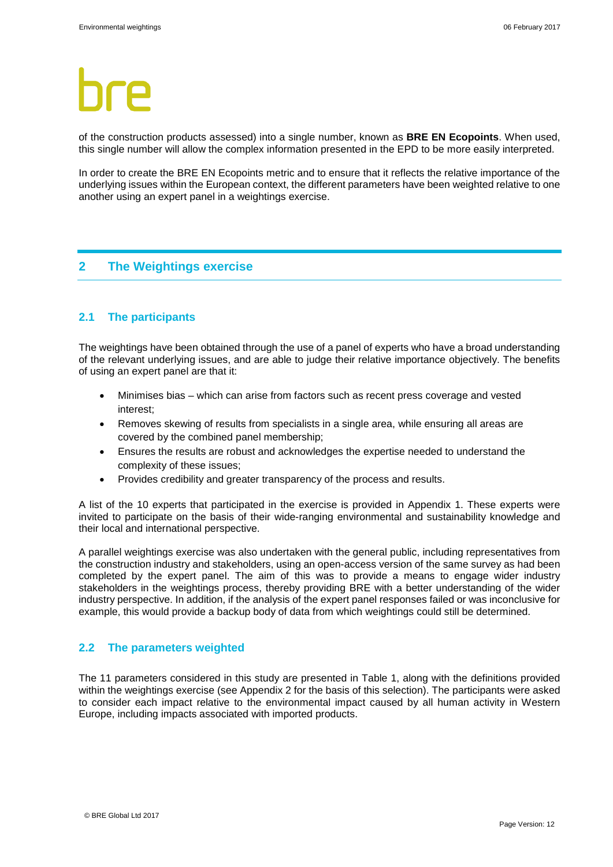of the construction products assessed) into a single number, known as **BRE EN Ecopoints**. When used, this single number will allow the complex information presented in the EPD to be more easily interpreted.

In order to create the BRE EN Ecopoints metric and to ensure that it reflects the relative importance of the underlying issues within the European context, the different parameters have been weighted relative to one another using an expert panel in a weightings exercise.

### **2 The Weightings exercise**

### **2.1 The participants**

The weightings have been obtained through the use of a panel of experts who have a broad understanding of the relevant underlying issues, and are able to judge their relative importance objectively. The benefits of using an expert panel are that it:

- Minimises bias which can arise from factors such as recent press coverage and vested interest;
- Removes skewing of results from specialists in a single area, while ensuring all areas are covered by the combined panel membership;
- Ensures the results are robust and acknowledges the expertise needed to understand the complexity of these issues;
- Provides credibility and greater transparency of the process and results.

A list of the 10 experts that participated in the exercise is provided in Appendix 1. These experts were invited to participate on the basis of their wide-ranging environmental and sustainability knowledge and their local and international perspective.

A parallel weightings exercise was also undertaken with the general public, including representatives from the construction industry and stakeholders, using an open-access version of the same survey as had been completed by the expert panel. The aim of this was to provide a means to engage wider industry stakeholders in the weightings process, thereby providing BRE with a better understanding of the wider industry perspective. In addition, if the analysis of the expert panel responses failed or was inconclusive for example, this would provide a backup body of data from which weightings could still be determined.

#### **2.2 The parameters weighted**

The 11 parameters considered in this study are presented in Table 1, along with the definitions provided within the weightings exercise (see Appendix 2 for the basis of this selection). The participants were asked to consider each impact relative to the environmental impact caused by all human activity in Western Europe, including impacts associated with imported products.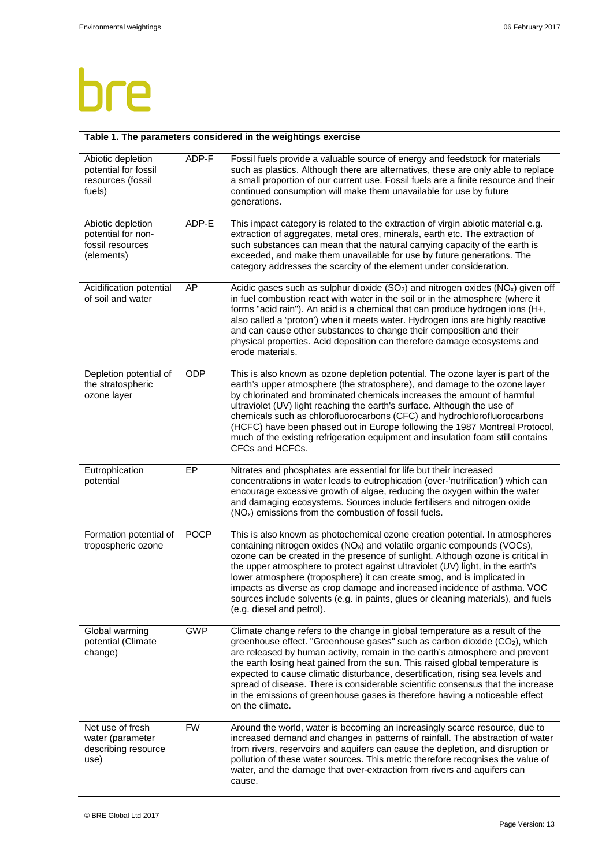## bre

#### **Table 1. The parameters considered in the weightings exercise**

| Abiotic depletion<br>potential for fossil<br>resources (fossil<br>fuels)  | ADP-F       | Fossil fuels provide a valuable source of energy and feedstock for materials<br>such as plastics. Although there are alternatives, these are only able to replace<br>a small proportion of our current use. Fossil fuels are a finite resource and their<br>continued consumption will make them unavailable for use by future<br>generations.                                                                                                                                                                                                                                                                     |
|---------------------------------------------------------------------------|-------------|--------------------------------------------------------------------------------------------------------------------------------------------------------------------------------------------------------------------------------------------------------------------------------------------------------------------------------------------------------------------------------------------------------------------------------------------------------------------------------------------------------------------------------------------------------------------------------------------------------------------|
| Abiotic depletion<br>potential for non-<br>fossil resources<br>(elements) | ADP-E       | This impact category is related to the extraction of virgin abiotic material e.g.<br>extraction of aggregates, metal ores, minerals, earth etc. The extraction of<br>such substances can mean that the natural carrying capacity of the earth is<br>exceeded, and make them unavailable for use by future generations. The<br>category addresses the scarcity of the element under consideration.                                                                                                                                                                                                                  |
| Acidification potential<br>of soil and water                              | AP          | Acidic gases such as sulphur dioxide $(SO2)$ and nitrogen oxides $(NOx)$ given off<br>in fuel combustion react with water in the soil or in the atmosphere (where it<br>forms "acid rain"). An acid is a chemical that can produce hydrogen ions (H+,<br>also called a 'proton') when it meets water. Hydrogen ions are highly reactive<br>and can cause other substances to change their composition and their<br>physical properties. Acid deposition can therefore damage ecosystems and<br>erode materials.                                                                                                    |
| Depletion potential of<br>the stratospheric<br>ozone layer                | <b>ODP</b>  | This is also known as ozone depletion potential. The ozone layer is part of the<br>earth's upper atmosphere (the stratosphere), and damage to the ozone layer<br>by chlorinated and brominated chemicals increases the amount of harmful<br>ultraviolet (UV) light reaching the earth's surface. Although the use of<br>chemicals such as chlorofluorocarbons (CFC) and hydrochlorofluorocarbons<br>(HCFC) have been phased out in Europe following the 1987 Montreal Protocol,<br>much of the existing refrigeration equipment and insulation foam still contains<br>CFCs and HCFCs.                              |
| Eutrophication<br>potential                                               | EP          | Nitrates and phosphates are essential for life but their increased<br>concentrations in water leads to eutrophication (over-'nutrification') which can<br>encourage excessive growth of algae, reducing the oxygen within the water<br>and damaging ecosystems. Sources include fertilisers and nitrogen oxide<br>(NO <sub>x</sub> ) emissions from the combustion of fossil fuels.                                                                                                                                                                                                                                |
| Formation potential of<br>tropospheric ozone                              | <b>POCP</b> | This is also known as photochemical ozone creation potential. In atmospheres<br>containing nitrogen oxides (NO <sub>x</sub> ) and volatile organic compounds (VOCs),<br>ozone can be created in the presence of sunlight. Although ozone is critical in<br>the upper atmosphere to protect against ultraviolet (UV) light, in the earth's<br>lower atmosphere (troposphere) it can create smog, and is implicated in<br>impacts as diverse as crop damage and increased incidence of asthma. VOC<br>sources include solvents (e.g. in paints, glues or cleaning materials), and fuels<br>(e.g. diesel and petrol). |
| Global warming<br>potential (Climate<br>change)                           | <b>GWP</b>  | Climate change refers to the change in global temperature as a result of the<br>greenhouse effect. "Greenhouse gases" such as carbon dioxide $(CO2)$ , which<br>are released by human activity, remain in the earth's atmosphere and prevent<br>the earth losing heat gained from the sun. This raised global temperature is<br>expected to cause climatic disturbance, desertification, rising sea levels and<br>spread of disease. There is considerable scientific consensus that the increase<br>in the emissions of greenhouse gases is therefore having a noticeable effect<br>on the climate.               |
| Net use of fresh<br>water (parameter<br>describing resource<br>use)       | <b>FW</b>   | Around the world, water is becoming an increasingly scarce resource, due to<br>increased demand and changes in patterns of rainfall. The abstraction of water<br>from rivers, reservoirs and aquifers can cause the depletion, and disruption or<br>pollution of these water sources. This metric therefore recognises the value of<br>water, and the damage that over-extraction from rivers and aquifers can<br>cause.                                                                                                                                                                                           |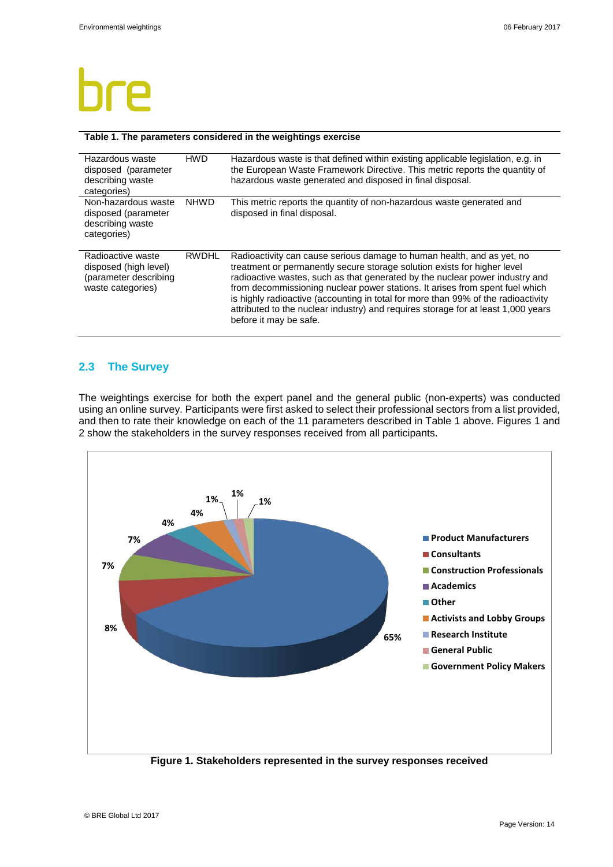#### **Table 1. The parameters considered in the weightings exercise**

| Hazardous waste<br>disposed (parameter<br>describing waste<br>categories)                | HWD          | Hazardous waste is that defined within existing applicable legislation, e.g. in<br>the European Waste Framework Directive. This metric reports the quantity of<br>hazardous waste generated and disposed in final disposal.                                                                                                                                                                                                                                                                                            |
|------------------------------------------------------------------------------------------|--------------|------------------------------------------------------------------------------------------------------------------------------------------------------------------------------------------------------------------------------------------------------------------------------------------------------------------------------------------------------------------------------------------------------------------------------------------------------------------------------------------------------------------------|
| Non-hazardous waste<br>disposed (parameter<br>describing waste<br>categories)            | <b>NHWD</b>  | This metric reports the quantity of non-hazardous waste generated and<br>disposed in final disposal.                                                                                                                                                                                                                                                                                                                                                                                                                   |
| Radioactive waste<br>disposed (high level)<br>(parameter describing<br>waste categories) | <b>RWDHL</b> | Radioactivity can cause serious damage to human health, and as yet, no<br>treatment or permanently secure storage solution exists for higher level<br>radioactive wastes, such as that generated by the nuclear power industry and<br>from decommissioning nuclear power stations. It arises from spent fuel which<br>is highly radioactive (accounting in total for more than 99% of the radioactivity<br>attributed to the nuclear industry) and requires storage for at least 1,000 years<br>before it may be safe. |

#### **2.3 The Survey**

The weightings exercise for both the expert panel and the general public (non-experts) was conducted using an online survey. Participants were first asked to select their professional sectors from a list provided, and then to rate their knowledge on each of the 11 parameters described in Table 1 above. Figures 1 and 2 show the stakeholders in the survey responses received from all participants.



**Figure 1. Stakeholders represented in the survey responses received**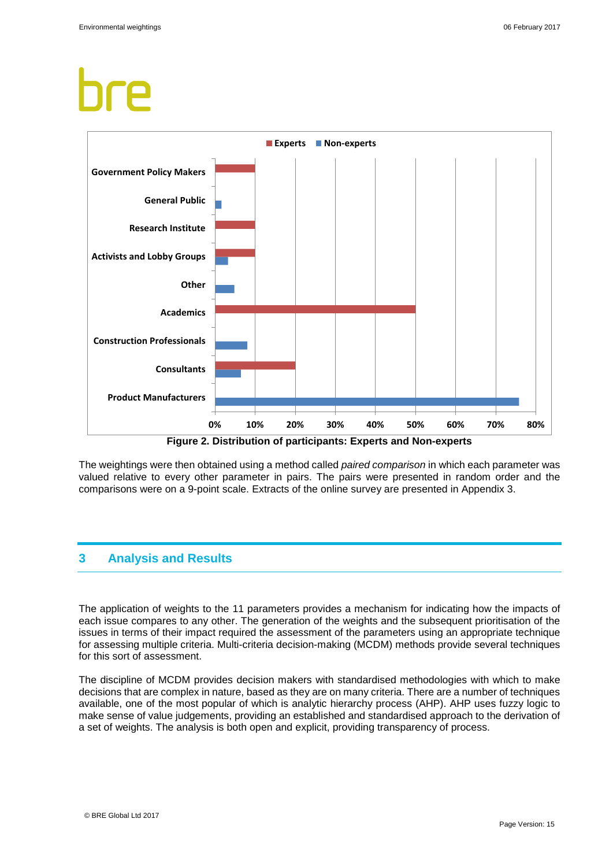

The weightings were then obtained using a method called *paired comparison* in which each parameter was valued relative to every other parameter in pairs. The pairs were presented in random order and the comparisons were on a 9-point scale. Extracts of the online survey are presented in Appendix 3.

## **3 Analysis and Results**

The application of weights to the 11 parameters provides a mechanism for indicating how the impacts of each issue compares to any other. The generation of the weights and the subsequent prioritisation of the issues in terms of their impact required the assessment of the parameters using an appropriate technique for assessing multiple criteria. Multi-criteria decision-making (MCDM) methods provide several techniques for this sort of assessment.

The discipline of MCDM provides decision makers with standardised methodologies with which to make decisions that are complex in nature, based as they are on many criteria. There are a number of techniques available, one of the most popular of which is analytic hierarchy process (AHP). AHP uses fuzzy logic to make sense of value judgements, providing an established and standardised approach to the derivation of a set of weights. The analysis is both open and explicit, providing transparency of process.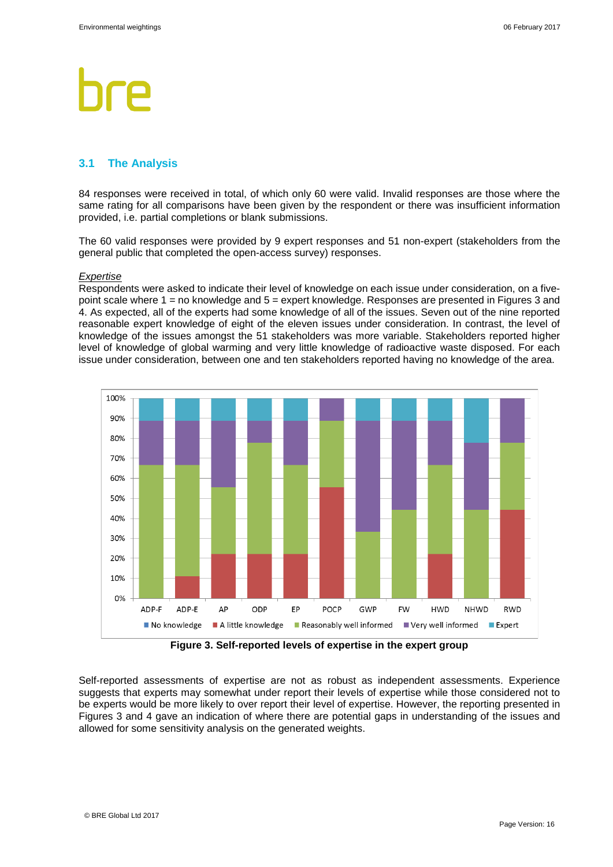### **3.1 The Analysis**

84 responses were received in total, of which only 60 were valid. Invalid responses are those where the same rating for all comparisons have been given by the respondent or there was insufficient information provided, i.e. partial completions or blank submissions.

The 60 valid responses were provided by 9 expert responses and 51 non-expert (stakeholders from the general public that completed the open-access survey) responses.

#### *Expertise*

Respondents were asked to indicate their level of knowledge on each issue under consideration, on a fivepoint scale where 1 = no knowledge and 5 = expert knowledge. Responses are presented in Figures 3 and 4. As expected, all of the experts had some knowledge of all of the issues. Seven out of the nine reported reasonable expert knowledge of eight of the eleven issues under consideration. In contrast, the level of knowledge of the issues amongst the 51 stakeholders was more variable. Stakeholders reported higher level of knowledge of global warming and very little knowledge of radioactive waste disposed. For each issue under consideration, between one and ten stakeholders reported having no knowledge of the area.



**Figure 3. Self-reported levels of expertise in the expert group**

Self-reported assessments of expertise are not as robust as independent assessments. Experience suggests that experts may somewhat under report their levels of expertise while those considered not to be experts would be more likely to over report their level of expertise. However, the reporting presented in Figures 3 and 4 gave an indication of where there are potential gaps in understanding of the issues and allowed for some sensitivity analysis on the generated weights.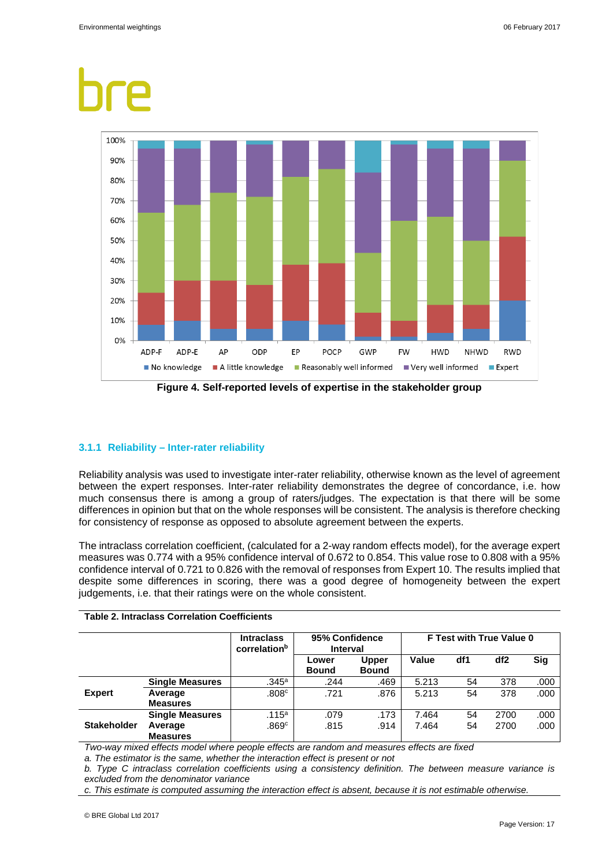

### **3.1.1 Reliability – Inter-rater reliability**

Reliability analysis was used to investigate inter-rater reliability, otherwise known as the level of agreement between the expert responses. Inter-rater reliability demonstrates the degree of concordance, i.e. how much consensus there is among a group of raters/judges. The expectation is that there will be some differences in opinion but that on the whole responses will be consistent. The analysis is therefore checking for consistency of response as opposed to absolute agreement between the experts.

The intraclass correlation coefficient, (calculated for a 2-way random effects model), for the average expert measures was 0.774 with a 95% confidence interval of 0.672 to 0.854. This value rose to 0.808 with a 95% confidence interval of 0.721 to 0.826 with the removal of responses from Expert 10. The results implied that despite some differences in scoring, there was a good degree of homogeneity between the expert judgements, i.e. that their ratings were on the whole consistent.

|                    |                        | <b>Intraclass</b><br>correlationb | 95% Confidence<br>Interval |                              | F Test with True Value 0 |     |                 |            |
|--------------------|------------------------|-----------------------------------|----------------------------|------------------------------|--------------------------|-----|-----------------|------------|
|                    |                        |                                   | Lower<br><b>Bound</b>      | <b>Upper</b><br><b>Bound</b> | Value                    | df1 | df <sub>2</sub> | <b>Sig</b> |
|                    | <b>Single Measures</b> | .345a                             | .244                       | .469                         | 5.213                    | 54  | 378             | .000       |
| <b>Expert</b>      | Average                | .808c                             | .721                       | .876                         | 5.213                    | 54  | 378             | .000       |
|                    | <b>Measures</b>        |                                   |                            |                              |                          |     |                 |            |
| <b>Stakeholder</b> | <b>Single Measures</b> | .115a                             | .079                       | .173                         | 7.464                    | 54  | 2700            | .000       |
|                    | Average                | .869c                             | .815                       | .914                         | 7.464                    | 54  | 2700            | .000       |
|                    | <b>Measures</b>        |                                   |                            |                              |                          |     |                 |            |

#### **Table 2. Intraclass Correlation Coefficients**

*Two-way mixed effects model where people effects are random and measures effects are fixed*

*a. The estimator is the same, whether the interaction effect is present or not*

*b. Type C intraclass correlation coefficients using a consistency definition. The between measure variance is excluded from the denominator variance*

*c. This estimate is computed assuming the interaction effect is absent, because it is not estimable otherwise.*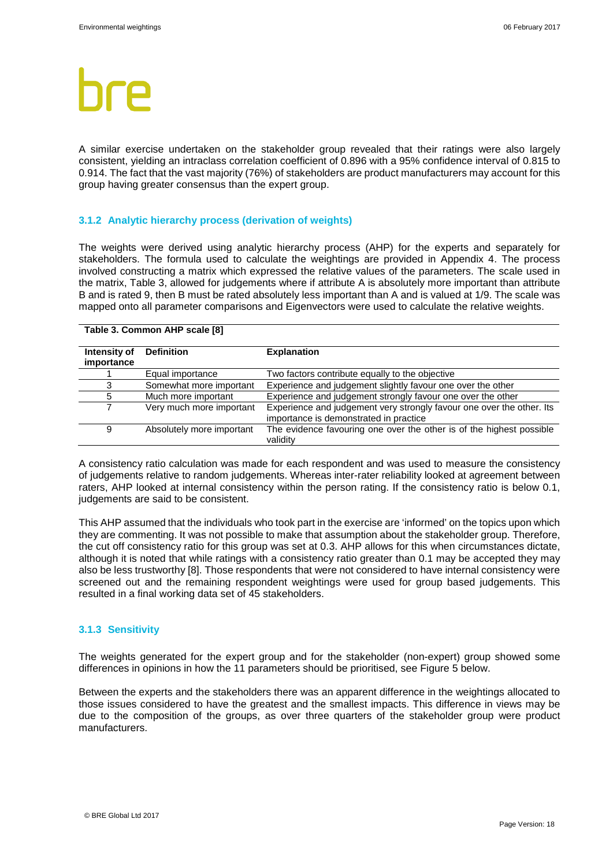A similar exercise undertaken on the stakeholder group revealed that their ratings were also largely consistent, yielding an intraclass correlation coefficient of 0.896 with a 95% confidence interval of 0.815 to 0.914. The fact that the vast majority (76%) of stakeholders are product manufacturers may account for this group having greater consensus than the expert group.

#### **3.1.2 Analytic hierarchy process (derivation of weights)**

The weights were derived using analytic hierarchy process (AHP) for the experts and separately for stakeholders. The formula used to calculate the weightings are provided in Appendix 4. The process involved constructing a matrix which expressed the relative values of the parameters. The scale used in the matrix, Table 3, allowed for judgements where if attribute A is absolutely more important than attribute B and is rated 9, then B must be rated absolutely less important than A and is valued at 1/9. The scale was mapped onto all parameter comparisons and Eigenvectors were used to calculate the relative weights.

#### **Table 3. Common AHP scale [8]**

| Intensity of<br>importance | <b>Definition</b>         | <b>Explanation</b>                                                                                              |
|----------------------------|---------------------------|-----------------------------------------------------------------------------------------------------------------|
|                            | Equal importance          | Two factors contribute equally to the objective                                                                 |
|                            | Somewhat more important   | Experience and judgement slightly favour one over the other                                                     |
| 5                          | Much more important       | Experience and judgement strongly favour one over the other                                                     |
|                            | Very much more important  | Experience and judgement very strongly favour one over the other. Its<br>importance is demonstrated in practice |
| 9                          | Absolutely more important | The evidence favouring one over the other is of the highest possible<br>validity                                |

A consistency ratio calculation was made for each respondent and was used to measure the consistency of judgements relative to random judgements. Whereas inter-rater reliability looked at agreement between raters, AHP looked at internal consistency within the person rating. If the consistency ratio is below 0.1, judgements are said to be consistent.

This AHP assumed that the individuals who took part in the exercise are 'informed' on the topics upon which they are commenting. It was not possible to make that assumption about the stakeholder group. Therefore, the cut off consistency ratio for this group was set at 0.3. AHP allows for this when circumstances dictate, although it is noted that while ratings with a consistency ratio greater than 0.1 may be accepted they may also be less trustworthy [8]. Those respondents that were not considered to have internal consistency were screened out and the remaining respondent weightings were used for group based judgements. This resulted in a final working data set of 45 stakeholders.

#### **3.1.3 Sensitivity**

The weights generated for the expert group and for the stakeholder (non-expert) group showed some differences in opinions in how the 11 parameters should be prioritised, see Figure 5 below.

Between the experts and the stakeholders there was an apparent difference in the weightings allocated to those issues considered to have the greatest and the smallest impacts. This difference in views may be due to the composition of the groups, as over three quarters of the stakeholder group were product manufacturers.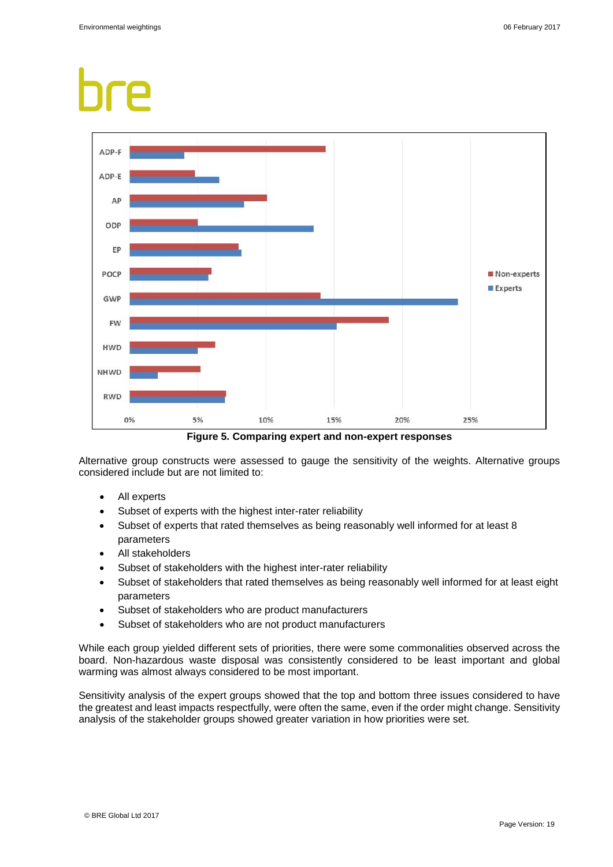

**Figure 5. Comparing expert and non-expert responses**

Alternative group constructs were assessed to gauge the sensitivity of the weights. Alternative groups considered include but are not limited to:

- All experts
- Subset of experts with the highest inter-rater reliability
- Subset of experts that rated themselves as being reasonably well informed for at least 8 parameters
- All stakeholders
- Subset of stakeholders with the highest inter-rater reliability
- Subset of stakeholders that rated themselves as being reasonably well informed for at least eight parameters
- Subset of stakeholders who are product manufacturers
- Subset of stakeholders who are not product manufacturers

While each group yielded different sets of priorities, there were some commonalities observed across the board. Non-hazardous waste disposal was consistently considered to be least important and global warming was almost always considered to be most important.

Sensitivity analysis of the expert groups showed that the top and bottom three issues considered to have the greatest and least impacts respectfully, were often the same, even if the order might change. Sensitivity analysis of the stakeholder groups showed greater variation in how priorities were set.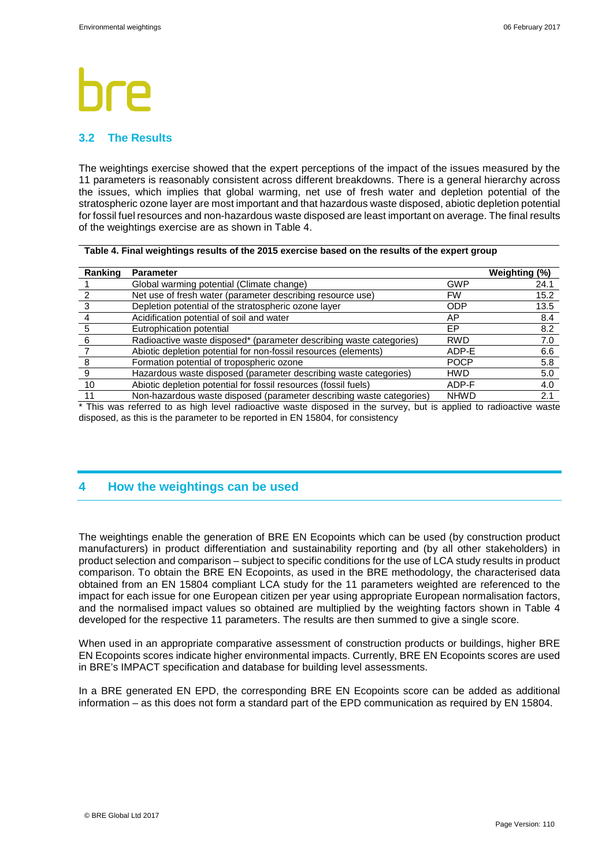### **3.2 The Results**

The weightings exercise showed that the expert perceptions of the impact of the issues measured by the 11 parameters is reasonably consistent across different breakdowns. There is a general hierarchy across the issues, which implies that global warming, net use of fresh water and depletion potential of the stratospheric ozone layer are most important and that hazardous waste disposed, abiotic depletion potential for fossil fuel resources and non-hazardous waste disposed are least important on average. The final results of the weightings exercise are as shown in Table 4.

| Table 4. Final weightings results of the 2015 exercise based on the results of the expert group |  |
|-------------------------------------------------------------------------------------------------|--|
|-------------------------------------------------------------------------------------------------|--|

| Ranking | <b>Parameter</b>                                                     |             | Weighting (%) |
|---------|----------------------------------------------------------------------|-------------|---------------|
|         | Global warming potential (Climate change)                            | <b>GWP</b>  | 24.1          |
|         | Net use of fresh water (parameter describing resource use)           | <b>FW</b>   | 15.2          |
|         | Depletion potential of the stratospheric ozone layer                 | <b>ODP</b>  | 13.5          |
|         | Acidification potential of soil and water                            | AP          | 8.4           |
|         | Eutrophication potential                                             | EP.         | 8.2           |
|         | Radioactive waste disposed* (parameter describing waste categories)  | <b>RWD</b>  | 7.0           |
|         | Abiotic depletion potential for non-fossil resources (elements)      | ADP-E       | 6.6           |
|         | Formation potential of tropospheric ozone                            | <b>POCP</b> | 5.8           |
|         | Hazardous waste disposed (parameter describing waste categories)     | <b>HWD</b>  | 5.0           |
| 10      | Abiotic depletion potential for fossil resources (fossil fuels)      | ADP-F       | 4.0           |
|         | Non-hazardous waste disposed (parameter describing waste categories) | <b>NHWD</b> | 2.1           |

\* This was referred to as high level radioactive waste disposed in the survey, but is applied to radioactive waste disposed, as this is the parameter to be reported in EN 15804, for consistency

## **4 How the weightings can be used**

The weightings enable the generation of BRE EN Ecopoints which can be used (by construction product manufacturers) in product differentiation and sustainability reporting and (by all other stakeholders) in product selection and comparison – subject to specific conditions for the use of LCA study results in product comparison. To obtain the BRE EN Ecopoints, as used in the BRE methodology, the characterised data obtained from an EN 15804 compliant LCA study for the 11 parameters weighted are referenced to the impact for each issue for one European citizen per year using appropriate European normalisation factors, and the normalised impact values so obtained are multiplied by the weighting factors shown in Table 4 developed for the respective 11 parameters. The results are then summed to give a single score.

When used in an appropriate comparative assessment of construction products or buildings, higher BRE EN Ecopoints scores indicate higher environmental impacts. Currently, BRE EN Ecopoints scores are used in BRE's IMPACT specification and database for building level assessments.

In a BRE generated EN EPD, the corresponding BRE EN Ecopoints score can be added as additional information – as this does not form a standard part of the EPD communication as required by EN 15804.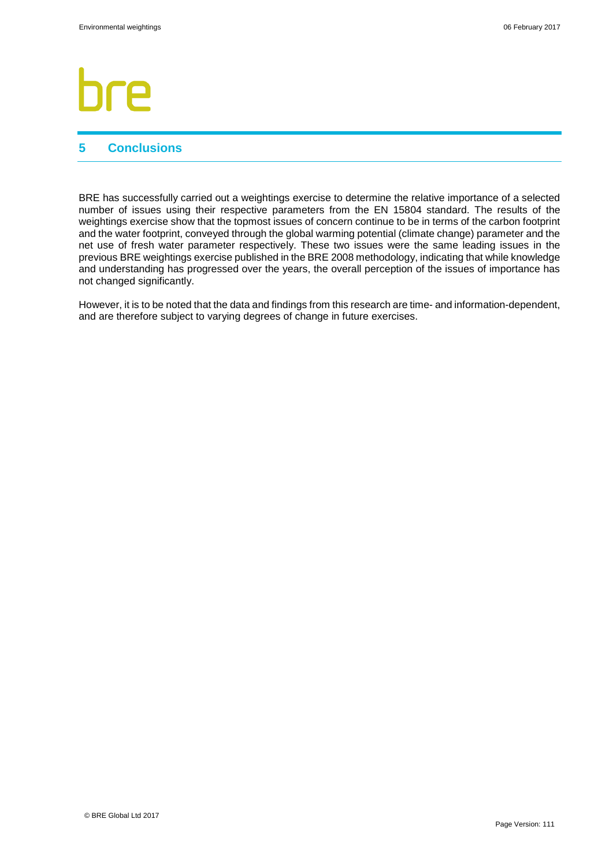# 7Α

## **5 Conclusions**

BRE has successfully carried out a weightings exercise to determine the relative importance of a selected number of issues using their respective parameters from the EN 15804 standard. The results of the weightings exercise show that the topmost issues of concern continue to be in terms of the carbon footprint and the water footprint, conveyed through the global warming potential (climate change) parameter and the net use of fresh water parameter respectively. These two issues were the same leading issues in the previous BRE weightings exercise published in the BRE 2008 methodology, indicating that while knowledge and understanding has progressed over the years, the overall perception of the issues of importance has not changed significantly.

However, it is to be noted that the data and findings from this research are time- and information-dependent, and are therefore subject to varying degrees of change in future exercises.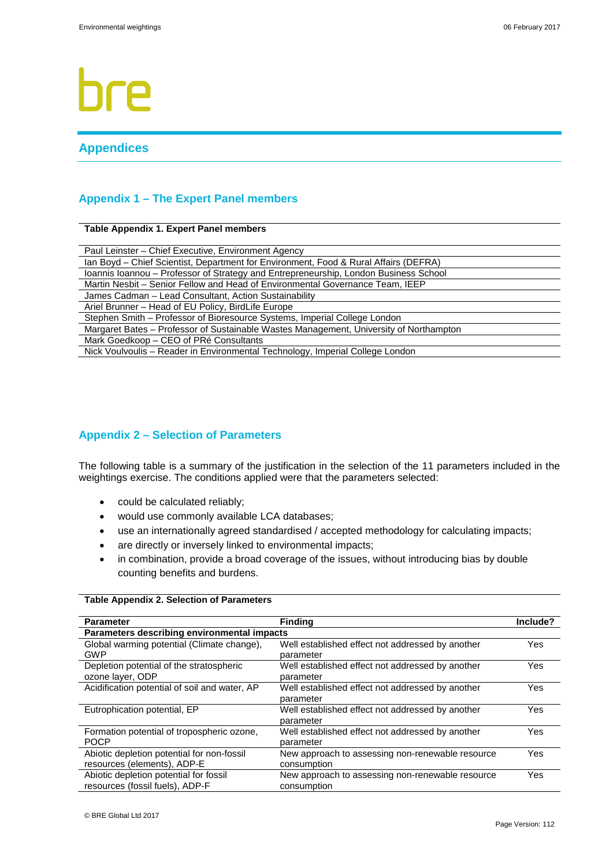# P

## **Appendices**

### **Appendix 1 – The Expert Panel members**

#### **Table Appendix 1. Expert Panel members**

| Paul Leinster - Chief Executive, Environment Agency                                    |
|----------------------------------------------------------------------------------------|
| Ian Boyd – Chief Scientist, Department for Environment, Food & Rural Affairs (DEFRA)   |
| Ioannis Ioannou - Professor of Strategy and Entrepreneurship, London Business School   |
| Martin Nesbit - Senior Fellow and Head of Environmental Governance Team, IEEP          |
| James Cadman - Lead Consultant, Action Sustainability                                  |
| Ariel Brunner - Head of EU Policy, BirdLife Europe                                     |
| Stephen Smith – Professor of Bioresource Systems, Imperial College London              |
| Margaret Bates - Professor of Sustainable Wastes Management, University of Northampton |
| Mark Goedkoop - CEO of PRé Consultants                                                 |
| Nick Voulvoulis - Reader in Environmental Technology, Imperial College London          |

### **Appendix 2 – Selection of Parameters**

The following table is a summary of the justification in the selection of the 11 parameters included in the weightings exercise. The conditions applied were that the parameters selected:

- could be calculated reliably;
- would use commonly available LCA databases;
- use an internationally agreed standardised / accepted methodology for calculating impacts;
- are directly or inversely linked to environmental impacts;
- in combination, provide a broad coverage of the issues, without introducing bias by double counting benefits and burdens.

#### **Table Appendix 2. Selection of Parameters**

| <b>Parameter</b>                              | <b>Finding</b>                                   | Include? |  |  |  |  |  |
|-----------------------------------------------|--------------------------------------------------|----------|--|--|--|--|--|
| Parameters describing environmental impacts   |                                                  |          |  |  |  |  |  |
| Global warming potential (Climate change),    | Well established effect not addressed by another | Yes      |  |  |  |  |  |
| GWP                                           | parameter                                        |          |  |  |  |  |  |
| Depletion potential of the stratospheric      | Well established effect not addressed by another | Yes      |  |  |  |  |  |
| ozone layer, ODP                              | parameter                                        |          |  |  |  |  |  |
| Acidification potential of soil and water, AP | Well established effect not addressed by another | Yes      |  |  |  |  |  |
|                                               | parameter                                        |          |  |  |  |  |  |
| Eutrophication potential, EP                  | Well established effect not addressed by another | Yes      |  |  |  |  |  |
|                                               | parameter                                        |          |  |  |  |  |  |
| Formation potential of tropospheric ozone,    | Well established effect not addressed by another | Yes      |  |  |  |  |  |
| <b>POCP</b>                                   | parameter                                        |          |  |  |  |  |  |
| Abiotic depletion potential for non-fossil    | New approach to assessing non-renewable resource | Yes      |  |  |  |  |  |
| resources (elements), ADP-E                   | consumption                                      |          |  |  |  |  |  |
| Abiotic depletion potential for fossil        | New approach to assessing non-renewable resource | Yes      |  |  |  |  |  |
| resources (fossil fuels). ADP-F               | consumption                                      |          |  |  |  |  |  |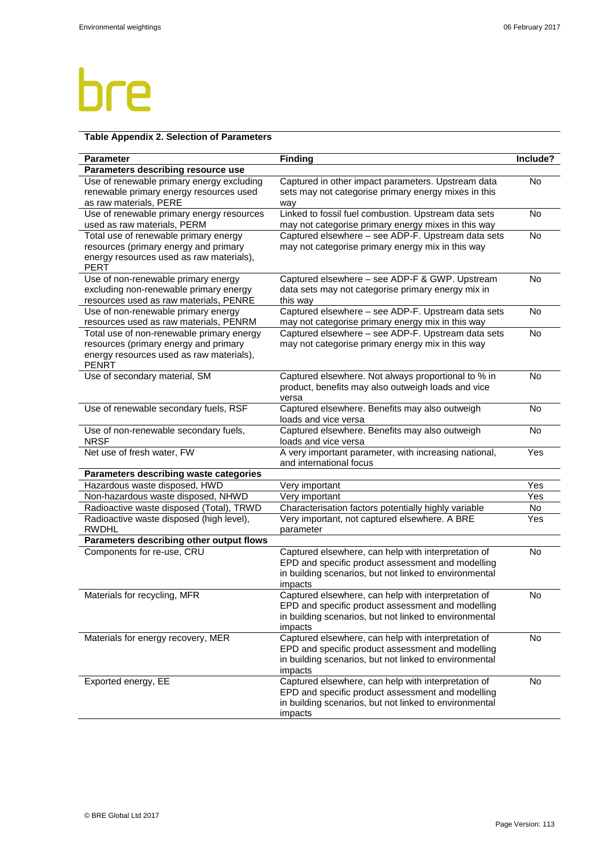## bre

## **Table Appendix 2. Selection of Parameters**

| Use of renewable primary energy excluding<br>No<br>Captured in other impact parameters. Upstream data<br>sets may not categorise primary energy mixes in this<br>renewable primary energy resources used<br>as raw materials, PERE<br>way<br>Linked to fossil fuel combustion. Upstream data sets<br>No<br>Use of renewable primary energy resources<br>used as raw materials, PERM<br>may not categorise primary energy mixes in this way<br>Total use of renewable primary energy<br>Captured elsewhere - see ADP-F. Upstream data sets<br><b>No</b><br>resources (primary energy and primary<br>may not categorise primary energy mix in this way<br>energy resources used as raw materials),<br><b>PERT</b><br>Use of non-renewable primary energy<br>Captured elsewhere - see ADP-F & GWP. Upstream<br><b>No</b><br>excluding non-renewable primary energy<br>data sets may not categorise primary energy mix in<br>resources used as raw materials, PENRE<br>this way<br>Captured elsewhere - see ADP-F. Upstream data sets<br>Use of non-renewable primary energy<br><b>No</b><br>resources used as raw materials, PENRM<br>may not categorise primary energy mix in this way<br>Captured elsewhere - see ADP-F. Upstream data sets<br>Total use of non-renewable primary energy<br><b>No</b><br>resources (primary energy and primary<br>may not categorise primary energy mix in this way<br>energy resources used as raw materials),<br><b>PENRT</b><br>Captured elsewhere. Not always proportional to % in<br>Use of secondary material, SM<br><b>No</b><br>product, benefits may also outweigh loads and vice<br>versa<br>Use of renewable secondary fuels, RSF<br>Captured elsewhere. Benefits may also outweigh<br><b>No</b><br>loads and vice versa<br>Use of non-renewable secondary fuels,<br>Captured elsewhere. Benefits may also outweigh<br>No<br><b>NRSF</b><br>loads and vice versa<br>Net use of fresh water, FW<br>A very important parameter, with increasing national,<br>Yes<br>and international focus<br>Parameters describing waste categories<br>Hazardous waste disposed, HWD<br>Yes<br>Very important<br>Non-hazardous waste disposed, NHWD<br>Very important<br>Yes<br>Radioactive waste disposed (Total), TRWD<br>Characterisation factors potentially highly variable<br>No<br>Radioactive waste disposed (high level),<br>Very important, not captured elsewhere. A BRE<br>Yes<br><b>RWDHL</b><br>parameter<br>Parameters describing other output flows<br>Components for re-use, CRU<br>Captured elsewhere, can help with interpretation of<br>No<br>EPD and specific product assessment and modelling<br>in building scenarios, but not linked to environmental<br>impacts<br>Captured elsewhere, can help with interpretation of<br>Materials for recycling, MFR<br>No<br>EPD and specific product assessment and modelling<br>in building scenarios, but not linked to environmental<br>impacts<br>Captured elsewhere, can help with interpretation of<br>Materials for energy recovery, MER<br>No<br>EPD and specific product assessment and modelling<br>in building scenarios, but not linked to environmental<br>impacts<br>Exported energy, EE<br>Captured elsewhere, can help with interpretation of<br>No<br>EPD and specific product assessment and modelling<br>in building scenarios, but not linked to environmental | <b>Parameter</b>                   | <b>Finding</b> | Include? |
|---------------------------------------------------------------------------------------------------------------------------------------------------------------------------------------------------------------------------------------------------------------------------------------------------------------------------------------------------------------------------------------------------------------------------------------------------------------------------------------------------------------------------------------------------------------------------------------------------------------------------------------------------------------------------------------------------------------------------------------------------------------------------------------------------------------------------------------------------------------------------------------------------------------------------------------------------------------------------------------------------------------------------------------------------------------------------------------------------------------------------------------------------------------------------------------------------------------------------------------------------------------------------------------------------------------------------------------------------------------------------------------------------------------------------------------------------------------------------------------------------------------------------------------------------------------------------------------------------------------------------------------------------------------------------------------------------------------------------------------------------------------------------------------------------------------------------------------------------------------------------------------------------------------------------------------------------------------------------------------------------------------------------------------------------------------------------------------------------------------------------------------------------------------------------------------------------------------------------------------------------------------------------------------------------------------------------------------------------------------------------------------------------------------------------------------------------------------------------------------------------------------------------------------------------------------------------------------------------------------------------------------------------------------------------------------------------------------------------------------------------------------------------------------------------------------------------------------------------------------------------------------------------------------------------------------------------------------------------------------------------------------------------------------------------------------------------------------------------------------------------------------------------------------------------------------------------------------------------------------------------------------------------------------------------------------------------------------------------------------------------|------------------------------------|----------------|----------|
|                                                                                                                                                                                                                                                                                                                                                                                                                                                                                                                                                                                                                                                                                                                                                                                                                                                                                                                                                                                                                                                                                                                                                                                                                                                                                                                                                                                                                                                                                                                                                                                                                                                                                                                                                                                                                                                                                                                                                                                                                                                                                                                                                                                                                                                                                                                                                                                                                                                                                                                                                                                                                                                                                                                                                                                                                                                                                                                                                                                                                                                                                                                                                                                                                                                                                                                                                                           | Parameters describing resource use |                |          |
|                                                                                                                                                                                                                                                                                                                                                                                                                                                                                                                                                                                                                                                                                                                                                                                                                                                                                                                                                                                                                                                                                                                                                                                                                                                                                                                                                                                                                                                                                                                                                                                                                                                                                                                                                                                                                                                                                                                                                                                                                                                                                                                                                                                                                                                                                                                                                                                                                                                                                                                                                                                                                                                                                                                                                                                                                                                                                                                                                                                                                                                                                                                                                                                                                                                                                                                                                                           |                                    |                |          |
|                                                                                                                                                                                                                                                                                                                                                                                                                                                                                                                                                                                                                                                                                                                                                                                                                                                                                                                                                                                                                                                                                                                                                                                                                                                                                                                                                                                                                                                                                                                                                                                                                                                                                                                                                                                                                                                                                                                                                                                                                                                                                                                                                                                                                                                                                                                                                                                                                                                                                                                                                                                                                                                                                                                                                                                                                                                                                                                                                                                                                                                                                                                                                                                                                                                                                                                                                                           |                                    |                |          |
|                                                                                                                                                                                                                                                                                                                                                                                                                                                                                                                                                                                                                                                                                                                                                                                                                                                                                                                                                                                                                                                                                                                                                                                                                                                                                                                                                                                                                                                                                                                                                                                                                                                                                                                                                                                                                                                                                                                                                                                                                                                                                                                                                                                                                                                                                                                                                                                                                                                                                                                                                                                                                                                                                                                                                                                                                                                                                                                                                                                                                                                                                                                                                                                                                                                                                                                                                                           |                                    |                |          |
|                                                                                                                                                                                                                                                                                                                                                                                                                                                                                                                                                                                                                                                                                                                                                                                                                                                                                                                                                                                                                                                                                                                                                                                                                                                                                                                                                                                                                                                                                                                                                                                                                                                                                                                                                                                                                                                                                                                                                                                                                                                                                                                                                                                                                                                                                                                                                                                                                                                                                                                                                                                                                                                                                                                                                                                                                                                                                                                                                                                                                                                                                                                                                                                                                                                                                                                                                                           |                                    |                |          |
|                                                                                                                                                                                                                                                                                                                                                                                                                                                                                                                                                                                                                                                                                                                                                                                                                                                                                                                                                                                                                                                                                                                                                                                                                                                                                                                                                                                                                                                                                                                                                                                                                                                                                                                                                                                                                                                                                                                                                                                                                                                                                                                                                                                                                                                                                                                                                                                                                                                                                                                                                                                                                                                                                                                                                                                                                                                                                                                                                                                                                                                                                                                                                                                                                                                                                                                                                                           |                                    |                |          |
|                                                                                                                                                                                                                                                                                                                                                                                                                                                                                                                                                                                                                                                                                                                                                                                                                                                                                                                                                                                                                                                                                                                                                                                                                                                                                                                                                                                                                                                                                                                                                                                                                                                                                                                                                                                                                                                                                                                                                                                                                                                                                                                                                                                                                                                                                                                                                                                                                                                                                                                                                                                                                                                                                                                                                                                                                                                                                                                                                                                                                                                                                                                                                                                                                                                                                                                                                                           |                                    |                |          |
|                                                                                                                                                                                                                                                                                                                                                                                                                                                                                                                                                                                                                                                                                                                                                                                                                                                                                                                                                                                                                                                                                                                                                                                                                                                                                                                                                                                                                                                                                                                                                                                                                                                                                                                                                                                                                                                                                                                                                                                                                                                                                                                                                                                                                                                                                                                                                                                                                                                                                                                                                                                                                                                                                                                                                                                                                                                                                                                                                                                                                                                                                                                                                                                                                                                                                                                                                                           |                                    |                |          |
|                                                                                                                                                                                                                                                                                                                                                                                                                                                                                                                                                                                                                                                                                                                                                                                                                                                                                                                                                                                                                                                                                                                                                                                                                                                                                                                                                                                                                                                                                                                                                                                                                                                                                                                                                                                                                                                                                                                                                                                                                                                                                                                                                                                                                                                                                                                                                                                                                                                                                                                                                                                                                                                                                                                                                                                                                                                                                                                                                                                                                                                                                                                                                                                                                                                                                                                                                                           |                                    |                |          |
|                                                                                                                                                                                                                                                                                                                                                                                                                                                                                                                                                                                                                                                                                                                                                                                                                                                                                                                                                                                                                                                                                                                                                                                                                                                                                                                                                                                                                                                                                                                                                                                                                                                                                                                                                                                                                                                                                                                                                                                                                                                                                                                                                                                                                                                                                                                                                                                                                                                                                                                                                                                                                                                                                                                                                                                                                                                                                                                                                                                                                                                                                                                                                                                                                                                                                                                                                                           |                                    |                |          |
|                                                                                                                                                                                                                                                                                                                                                                                                                                                                                                                                                                                                                                                                                                                                                                                                                                                                                                                                                                                                                                                                                                                                                                                                                                                                                                                                                                                                                                                                                                                                                                                                                                                                                                                                                                                                                                                                                                                                                                                                                                                                                                                                                                                                                                                                                                                                                                                                                                                                                                                                                                                                                                                                                                                                                                                                                                                                                                                                                                                                                                                                                                                                                                                                                                                                                                                                                                           |                                    |                |          |
|                                                                                                                                                                                                                                                                                                                                                                                                                                                                                                                                                                                                                                                                                                                                                                                                                                                                                                                                                                                                                                                                                                                                                                                                                                                                                                                                                                                                                                                                                                                                                                                                                                                                                                                                                                                                                                                                                                                                                                                                                                                                                                                                                                                                                                                                                                                                                                                                                                                                                                                                                                                                                                                                                                                                                                                                                                                                                                                                                                                                                                                                                                                                                                                                                                                                                                                                                                           |                                    |                |          |
|                                                                                                                                                                                                                                                                                                                                                                                                                                                                                                                                                                                                                                                                                                                                                                                                                                                                                                                                                                                                                                                                                                                                                                                                                                                                                                                                                                                                                                                                                                                                                                                                                                                                                                                                                                                                                                                                                                                                                                                                                                                                                                                                                                                                                                                                                                                                                                                                                                                                                                                                                                                                                                                                                                                                                                                                                                                                                                                                                                                                                                                                                                                                                                                                                                                                                                                                                                           |                                    |                |          |
|                                                                                                                                                                                                                                                                                                                                                                                                                                                                                                                                                                                                                                                                                                                                                                                                                                                                                                                                                                                                                                                                                                                                                                                                                                                                                                                                                                                                                                                                                                                                                                                                                                                                                                                                                                                                                                                                                                                                                                                                                                                                                                                                                                                                                                                                                                                                                                                                                                                                                                                                                                                                                                                                                                                                                                                                                                                                                                                                                                                                                                                                                                                                                                                                                                                                                                                                                                           |                                    |                |          |
|                                                                                                                                                                                                                                                                                                                                                                                                                                                                                                                                                                                                                                                                                                                                                                                                                                                                                                                                                                                                                                                                                                                                                                                                                                                                                                                                                                                                                                                                                                                                                                                                                                                                                                                                                                                                                                                                                                                                                                                                                                                                                                                                                                                                                                                                                                                                                                                                                                                                                                                                                                                                                                                                                                                                                                                                                                                                                                                                                                                                                                                                                                                                                                                                                                                                                                                                                                           |                                    |                |          |
|                                                                                                                                                                                                                                                                                                                                                                                                                                                                                                                                                                                                                                                                                                                                                                                                                                                                                                                                                                                                                                                                                                                                                                                                                                                                                                                                                                                                                                                                                                                                                                                                                                                                                                                                                                                                                                                                                                                                                                                                                                                                                                                                                                                                                                                                                                                                                                                                                                                                                                                                                                                                                                                                                                                                                                                                                                                                                                                                                                                                                                                                                                                                                                                                                                                                                                                                                                           |                                    |                |          |
|                                                                                                                                                                                                                                                                                                                                                                                                                                                                                                                                                                                                                                                                                                                                                                                                                                                                                                                                                                                                                                                                                                                                                                                                                                                                                                                                                                                                                                                                                                                                                                                                                                                                                                                                                                                                                                                                                                                                                                                                                                                                                                                                                                                                                                                                                                                                                                                                                                                                                                                                                                                                                                                                                                                                                                                                                                                                                                                                                                                                                                                                                                                                                                                                                                                                                                                                                                           |                                    |                |          |
|                                                                                                                                                                                                                                                                                                                                                                                                                                                                                                                                                                                                                                                                                                                                                                                                                                                                                                                                                                                                                                                                                                                                                                                                                                                                                                                                                                                                                                                                                                                                                                                                                                                                                                                                                                                                                                                                                                                                                                                                                                                                                                                                                                                                                                                                                                                                                                                                                                                                                                                                                                                                                                                                                                                                                                                                                                                                                                                                                                                                                                                                                                                                                                                                                                                                                                                                                                           |                                    |                |          |
|                                                                                                                                                                                                                                                                                                                                                                                                                                                                                                                                                                                                                                                                                                                                                                                                                                                                                                                                                                                                                                                                                                                                                                                                                                                                                                                                                                                                                                                                                                                                                                                                                                                                                                                                                                                                                                                                                                                                                                                                                                                                                                                                                                                                                                                                                                                                                                                                                                                                                                                                                                                                                                                                                                                                                                                                                                                                                                                                                                                                                                                                                                                                                                                                                                                                                                                                                                           |                                    |                |          |
|                                                                                                                                                                                                                                                                                                                                                                                                                                                                                                                                                                                                                                                                                                                                                                                                                                                                                                                                                                                                                                                                                                                                                                                                                                                                                                                                                                                                                                                                                                                                                                                                                                                                                                                                                                                                                                                                                                                                                                                                                                                                                                                                                                                                                                                                                                                                                                                                                                                                                                                                                                                                                                                                                                                                                                                                                                                                                                                                                                                                                                                                                                                                                                                                                                                                                                                                                                           |                                    |                |          |
|                                                                                                                                                                                                                                                                                                                                                                                                                                                                                                                                                                                                                                                                                                                                                                                                                                                                                                                                                                                                                                                                                                                                                                                                                                                                                                                                                                                                                                                                                                                                                                                                                                                                                                                                                                                                                                                                                                                                                                                                                                                                                                                                                                                                                                                                                                                                                                                                                                                                                                                                                                                                                                                                                                                                                                                                                                                                                                                                                                                                                                                                                                                                                                                                                                                                                                                                                                           |                                    |                |          |
|                                                                                                                                                                                                                                                                                                                                                                                                                                                                                                                                                                                                                                                                                                                                                                                                                                                                                                                                                                                                                                                                                                                                                                                                                                                                                                                                                                                                                                                                                                                                                                                                                                                                                                                                                                                                                                                                                                                                                                                                                                                                                                                                                                                                                                                                                                                                                                                                                                                                                                                                                                                                                                                                                                                                                                                                                                                                                                                                                                                                                                                                                                                                                                                                                                                                                                                                                                           |                                    |                |          |
|                                                                                                                                                                                                                                                                                                                                                                                                                                                                                                                                                                                                                                                                                                                                                                                                                                                                                                                                                                                                                                                                                                                                                                                                                                                                                                                                                                                                                                                                                                                                                                                                                                                                                                                                                                                                                                                                                                                                                                                                                                                                                                                                                                                                                                                                                                                                                                                                                                                                                                                                                                                                                                                                                                                                                                                                                                                                                                                                                                                                                                                                                                                                                                                                                                                                                                                                                                           |                                    |                |          |
|                                                                                                                                                                                                                                                                                                                                                                                                                                                                                                                                                                                                                                                                                                                                                                                                                                                                                                                                                                                                                                                                                                                                                                                                                                                                                                                                                                                                                                                                                                                                                                                                                                                                                                                                                                                                                                                                                                                                                                                                                                                                                                                                                                                                                                                                                                                                                                                                                                                                                                                                                                                                                                                                                                                                                                                                                                                                                                                                                                                                                                                                                                                                                                                                                                                                                                                                                                           |                                    |                |          |
|                                                                                                                                                                                                                                                                                                                                                                                                                                                                                                                                                                                                                                                                                                                                                                                                                                                                                                                                                                                                                                                                                                                                                                                                                                                                                                                                                                                                                                                                                                                                                                                                                                                                                                                                                                                                                                                                                                                                                                                                                                                                                                                                                                                                                                                                                                                                                                                                                                                                                                                                                                                                                                                                                                                                                                                                                                                                                                                                                                                                                                                                                                                                                                                                                                                                                                                                                                           |                                    |                |          |
|                                                                                                                                                                                                                                                                                                                                                                                                                                                                                                                                                                                                                                                                                                                                                                                                                                                                                                                                                                                                                                                                                                                                                                                                                                                                                                                                                                                                                                                                                                                                                                                                                                                                                                                                                                                                                                                                                                                                                                                                                                                                                                                                                                                                                                                                                                                                                                                                                                                                                                                                                                                                                                                                                                                                                                                                                                                                                                                                                                                                                                                                                                                                                                                                                                                                                                                                                                           |                                    |                |          |
|                                                                                                                                                                                                                                                                                                                                                                                                                                                                                                                                                                                                                                                                                                                                                                                                                                                                                                                                                                                                                                                                                                                                                                                                                                                                                                                                                                                                                                                                                                                                                                                                                                                                                                                                                                                                                                                                                                                                                                                                                                                                                                                                                                                                                                                                                                                                                                                                                                                                                                                                                                                                                                                                                                                                                                                                                                                                                                                                                                                                                                                                                                                                                                                                                                                                                                                                                                           |                                    |                |          |
|                                                                                                                                                                                                                                                                                                                                                                                                                                                                                                                                                                                                                                                                                                                                                                                                                                                                                                                                                                                                                                                                                                                                                                                                                                                                                                                                                                                                                                                                                                                                                                                                                                                                                                                                                                                                                                                                                                                                                                                                                                                                                                                                                                                                                                                                                                                                                                                                                                                                                                                                                                                                                                                                                                                                                                                                                                                                                                                                                                                                                                                                                                                                                                                                                                                                                                                                                                           |                                    |                |          |
|                                                                                                                                                                                                                                                                                                                                                                                                                                                                                                                                                                                                                                                                                                                                                                                                                                                                                                                                                                                                                                                                                                                                                                                                                                                                                                                                                                                                                                                                                                                                                                                                                                                                                                                                                                                                                                                                                                                                                                                                                                                                                                                                                                                                                                                                                                                                                                                                                                                                                                                                                                                                                                                                                                                                                                                                                                                                                                                                                                                                                                                                                                                                                                                                                                                                                                                                                                           |                                    |                |          |
|                                                                                                                                                                                                                                                                                                                                                                                                                                                                                                                                                                                                                                                                                                                                                                                                                                                                                                                                                                                                                                                                                                                                                                                                                                                                                                                                                                                                                                                                                                                                                                                                                                                                                                                                                                                                                                                                                                                                                                                                                                                                                                                                                                                                                                                                                                                                                                                                                                                                                                                                                                                                                                                                                                                                                                                                                                                                                                                                                                                                                                                                                                                                                                                                                                                                                                                                                                           |                                    |                |          |
|                                                                                                                                                                                                                                                                                                                                                                                                                                                                                                                                                                                                                                                                                                                                                                                                                                                                                                                                                                                                                                                                                                                                                                                                                                                                                                                                                                                                                                                                                                                                                                                                                                                                                                                                                                                                                                                                                                                                                                                                                                                                                                                                                                                                                                                                                                                                                                                                                                                                                                                                                                                                                                                                                                                                                                                                                                                                                                                                                                                                                                                                                                                                                                                                                                                                                                                                                                           |                                    |                |          |
|                                                                                                                                                                                                                                                                                                                                                                                                                                                                                                                                                                                                                                                                                                                                                                                                                                                                                                                                                                                                                                                                                                                                                                                                                                                                                                                                                                                                                                                                                                                                                                                                                                                                                                                                                                                                                                                                                                                                                                                                                                                                                                                                                                                                                                                                                                                                                                                                                                                                                                                                                                                                                                                                                                                                                                                                                                                                                                                                                                                                                                                                                                                                                                                                                                                                                                                                                                           |                                    |                |          |
|                                                                                                                                                                                                                                                                                                                                                                                                                                                                                                                                                                                                                                                                                                                                                                                                                                                                                                                                                                                                                                                                                                                                                                                                                                                                                                                                                                                                                                                                                                                                                                                                                                                                                                                                                                                                                                                                                                                                                                                                                                                                                                                                                                                                                                                                                                                                                                                                                                                                                                                                                                                                                                                                                                                                                                                                                                                                                                                                                                                                                                                                                                                                                                                                                                                                                                                                                                           |                                    |                |          |
|                                                                                                                                                                                                                                                                                                                                                                                                                                                                                                                                                                                                                                                                                                                                                                                                                                                                                                                                                                                                                                                                                                                                                                                                                                                                                                                                                                                                                                                                                                                                                                                                                                                                                                                                                                                                                                                                                                                                                                                                                                                                                                                                                                                                                                                                                                                                                                                                                                                                                                                                                                                                                                                                                                                                                                                                                                                                                                                                                                                                                                                                                                                                                                                                                                                                                                                                                                           |                                    |                |          |
|                                                                                                                                                                                                                                                                                                                                                                                                                                                                                                                                                                                                                                                                                                                                                                                                                                                                                                                                                                                                                                                                                                                                                                                                                                                                                                                                                                                                                                                                                                                                                                                                                                                                                                                                                                                                                                                                                                                                                                                                                                                                                                                                                                                                                                                                                                                                                                                                                                                                                                                                                                                                                                                                                                                                                                                                                                                                                                                                                                                                                                                                                                                                                                                                                                                                                                                                                                           |                                    |                |          |
|                                                                                                                                                                                                                                                                                                                                                                                                                                                                                                                                                                                                                                                                                                                                                                                                                                                                                                                                                                                                                                                                                                                                                                                                                                                                                                                                                                                                                                                                                                                                                                                                                                                                                                                                                                                                                                                                                                                                                                                                                                                                                                                                                                                                                                                                                                                                                                                                                                                                                                                                                                                                                                                                                                                                                                                                                                                                                                                                                                                                                                                                                                                                                                                                                                                                                                                                                                           |                                    |                |          |
|                                                                                                                                                                                                                                                                                                                                                                                                                                                                                                                                                                                                                                                                                                                                                                                                                                                                                                                                                                                                                                                                                                                                                                                                                                                                                                                                                                                                                                                                                                                                                                                                                                                                                                                                                                                                                                                                                                                                                                                                                                                                                                                                                                                                                                                                                                                                                                                                                                                                                                                                                                                                                                                                                                                                                                                                                                                                                                                                                                                                                                                                                                                                                                                                                                                                                                                                                                           |                                    |                |          |
|                                                                                                                                                                                                                                                                                                                                                                                                                                                                                                                                                                                                                                                                                                                                                                                                                                                                                                                                                                                                                                                                                                                                                                                                                                                                                                                                                                                                                                                                                                                                                                                                                                                                                                                                                                                                                                                                                                                                                                                                                                                                                                                                                                                                                                                                                                                                                                                                                                                                                                                                                                                                                                                                                                                                                                                                                                                                                                                                                                                                                                                                                                                                                                                                                                                                                                                                                                           |                                    |                |          |
|                                                                                                                                                                                                                                                                                                                                                                                                                                                                                                                                                                                                                                                                                                                                                                                                                                                                                                                                                                                                                                                                                                                                                                                                                                                                                                                                                                                                                                                                                                                                                                                                                                                                                                                                                                                                                                                                                                                                                                                                                                                                                                                                                                                                                                                                                                                                                                                                                                                                                                                                                                                                                                                                                                                                                                                                                                                                                                                                                                                                                                                                                                                                                                                                                                                                                                                                                                           |                                    |                |          |
|                                                                                                                                                                                                                                                                                                                                                                                                                                                                                                                                                                                                                                                                                                                                                                                                                                                                                                                                                                                                                                                                                                                                                                                                                                                                                                                                                                                                                                                                                                                                                                                                                                                                                                                                                                                                                                                                                                                                                                                                                                                                                                                                                                                                                                                                                                                                                                                                                                                                                                                                                                                                                                                                                                                                                                                                                                                                                                                                                                                                                                                                                                                                                                                                                                                                                                                                                                           |                                    |                |          |
|                                                                                                                                                                                                                                                                                                                                                                                                                                                                                                                                                                                                                                                                                                                                                                                                                                                                                                                                                                                                                                                                                                                                                                                                                                                                                                                                                                                                                                                                                                                                                                                                                                                                                                                                                                                                                                                                                                                                                                                                                                                                                                                                                                                                                                                                                                                                                                                                                                                                                                                                                                                                                                                                                                                                                                                                                                                                                                                                                                                                                                                                                                                                                                                                                                                                                                                                                                           |                                    |                |          |
|                                                                                                                                                                                                                                                                                                                                                                                                                                                                                                                                                                                                                                                                                                                                                                                                                                                                                                                                                                                                                                                                                                                                                                                                                                                                                                                                                                                                                                                                                                                                                                                                                                                                                                                                                                                                                                                                                                                                                                                                                                                                                                                                                                                                                                                                                                                                                                                                                                                                                                                                                                                                                                                                                                                                                                                                                                                                                                                                                                                                                                                                                                                                                                                                                                                                                                                                                                           |                                    |                |          |
|                                                                                                                                                                                                                                                                                                                                                                                                                                                                                                                                                                                                                                                                                                                                                                                                                                                                                                                                                                                                                                                                                                                                                                                                                                                                                                                                                                                                                                                                                                                                                                                                                                                                                                                                                                                                                                                                                                                                                                                                                                                                                                                                                                                                                                                                                                                                                                                                                                                                                                                                                                                                                                                                                                                                                                                                                                                                                                                                                                                                                                                                                                                                                                                                                                                                                                                                                                           |                                    |                |          |
|                                                                                                                                                                                                                                                                                                                                                                                                                                                                                                                                                                                                                                                                                                                                                                                                                                                                                                                                                                                                                                                                                                                                                                                                                                                                                                                                                                                                                                                                                                                                                                                                                                                                                                                                                                                                                                                                                                                                                                                                                                                                                                                                                                                                                                                                                                                                                                                                                                                                                                                                                                                                                                                                                                                                                                                                                                                                                                                                                                                                                                                                                                                                                                                                                                                                                                                                                                           |                                    |                |          |
|                                                                                                                                                                                                                                                                                                                                                                                                                                                                                                                                                                                                                                                                                                                                                                                                                                                                                                                                                                                                                                                                                                                                                                                                                                                                                                                                                                                                                                                                                                                                                                                                                                                                                                                                                                                                                                                                                                                                                                                                                                                                                                                                                                                                                                                                                                                                                                                                                                                                                                                                                                                                                                                                                                                                                                                                                                                                                                                                                                                                                                                                                                                                                                                                                                                                                                                                                                           |                                    |                |          |
|                                                                                                                                                                                                                                                                                                                                                                                                                                                                                                                                                                                                                                                                                                                                                                                                                                                                                                                                                                                                                                                                                                                                                                                                                                                                                                                                                                                                                                                                                                                                                                                                                                                                                                                                                                                                                                                                                                                                                                                                                                                                                                                                                                                                                                                                                                                                                                                                                                                                                                                                                                                                                                                                                                                                                                                                                                                                                                                                                                                                                                                                                                                                                                                                                                                                                                                                                                           |                                    |                |          |
|                                                                                                                                                                                                                                                                                                                                                                                                                                                                                                                                                                                                                                                                                                                                                                                                                                                                                                                                                                                                                                                                                                                                                                                                                                                                                                                                                                                                                                                                                                                                                                                                                                                                                                                                                                                                                                                                                                                                                                                                                                                                                                                                                                                                                                                                                                                                                                                                                                                                                                                                                                                                                                                                                                                                                                                                                                                                                                                                                                                                                                                                                                                                                                                                                                                                                                                                                                           |                                    |                |          |
|                                                                                                                                                                                                                                                                                                                                                                                                                                                                                                                                                                                                                                                                                                                                                                                                                                                                                                                                                                                                                                                                                                                                                                                                                                                                                                                                                                                                                                                                                                                                                                                                                                                                                                                                                                                                                                                                                                                                                                                                                                                                                                                                                                                                                                                                                                                                                                                                                                                                                                                                                                                                                                                                                                                                                                                                                                                                                                                                                                                                                                                                                                                                                                                                                                                                                                                                                                           |                                    | impacts        |          |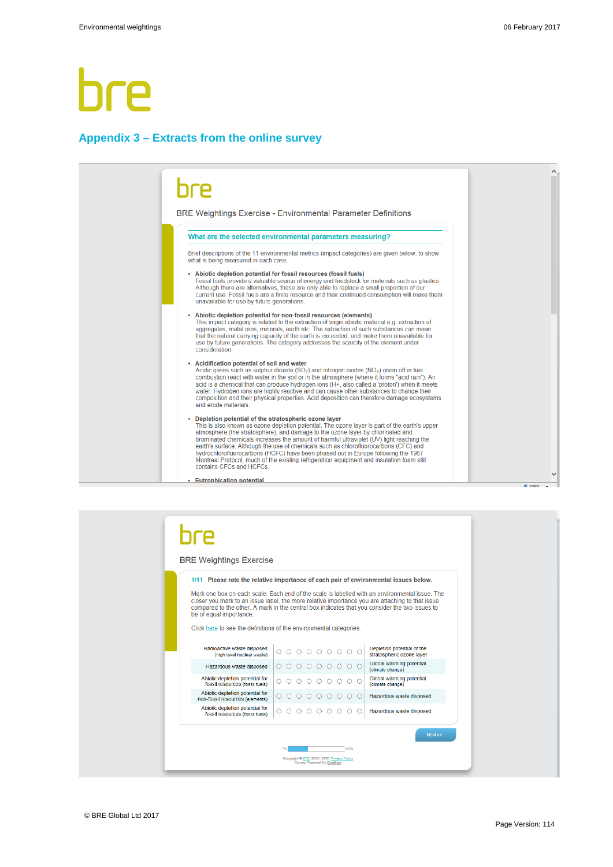#### **Appendix 3 – Extracts from the online survey**

## bre BRE Weightings Exercise - Environmental Parameter Definitions What are the selected environmental parameters measuring? Brief descriptions of the 11 environmental metrics (impact categories) are given below, to show what is being measured in each case • Abiotic depletion potential for fossil resources (fossil fuels)<br>Fossil fuels provide a valuable source of energy and feedstock for materials such as plastics.<br>Although there are alternatives, these are only able to repla current use. Fossil fuels are a finite resource and their continued consumption will make them<br>unavailable for use by future generations. Abiotic depletion potential for non-fossil resources (elements)<br>This impact category is related to the extraction of virgin abiotic material e.g. extraction of

The extraction of such substances can mean<br>and aggregates, metal ores, minerals, earth etc. The extraction of such substances can mean<br>that the natural carrying capacity of the earth is exceeded, and make them unavailable consideration

• Acidification potential of soil and water<br>Acidic gases such as sulphur dioxide  $(SO_2)$  and nitrogen oxides  $(NO_X)$  given off in fuel<br>combustion react with water in the soil or in the atmosphere (where it forms "acid rain composition and their physical properties. Acid deposition can therefore damage ecosystems and erode materials

**Depletion potential of the stratospheric ozone layer**<br>This is also known as ozone depletion potential. The ozone layer is part of the earth's upper<br>atmosphere (the stratosphere), and damage to the ozone layer by chlorinat hydrochlorofluorocarbons (HCFC) have been phased out in Europe following the 1987<br>Montreal Protocol, much of the existing refrigeration equipment and insulation foam still contains CFCs and HCFCs

**Eutrophication potential** 

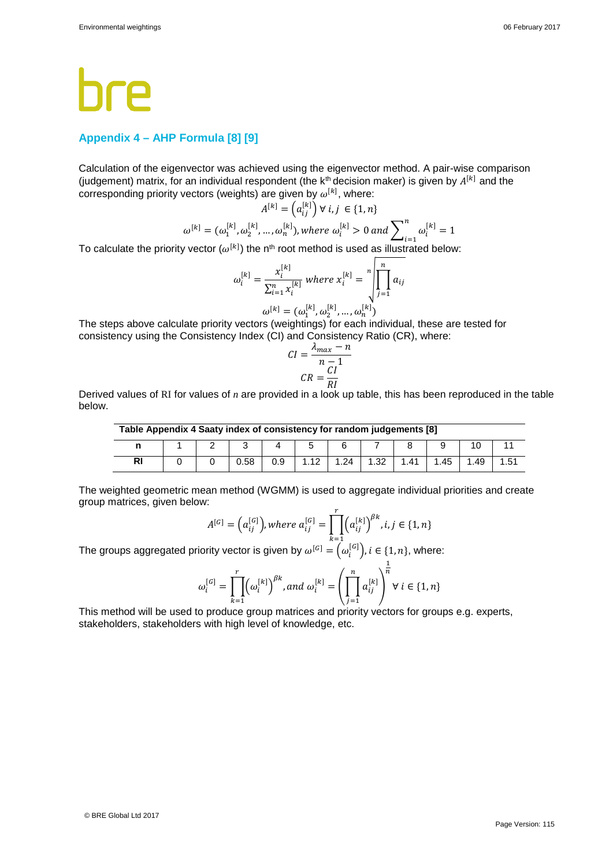## **Appendix 4 – AHP Formula [8] [9]**

Calculation of the eigenvector was achieved using the eigenvector method. A pair-wise comparison (judgement) matrix, for an individual respondent (the  $k<sup>th</sup>$  decision maker) is given by  $A^{[k]}$  and the corresponding priority vectors (weights) are given by  $\omega^{[\kappa]}$ , where:

$$
A^{[k]} = (a_{ij}^{[k]}) \forall i, j \in \{1, n\}
$$

$$
\omega^{[k]} = (\omega_1^{[k]}, \omega_2^{[k]}, \dots, \omega_n^{[k]}), \text{where } \omega_i^{[k]} > 0 \text{ and } \sum_{i=1}^n \omega_i^{[k]} = 1
$$

To calculate the priority vector  $(\omega^{[k]})$  the n<sup>th</sup> root method is used as illustrated below:

$$
\omega_i^{[k]} = \frac{x_i^{[k]}}{\sum_{i=1}^n x_i^{[k]}} \text{ where } x_i^{[k]} = \sqrt[n]{\prod_{j=1}^n a_{ij}}
$$

$$
\omega_i^{[k]} = (\omega_1^{[k]}, \omega_2^{[k]}, \dots, \omega_n^{[k]})
$$

The steps above calculate priority vectors (weightings) for each individual, these are tested for consistency using the Consistency Index (CI) and Consistency Ratio (CR), where:

$$
CI = \frac{\lambda_{max} - n}{n - 1}
$$

$$
CR = \frac{CI}{PI}
$$

Derived values of RI for values of *n* are provided in a look up table, this has been reproduced in the table below.

| Table Appendix 4 Saaty index of consistency for random judgements [8] |  |  |      |     |  |      |      |       |      |     |      |
|-----------------------------------------------------------------------|--|--|------|-----|--|------|------|-------|------|-----|------|
|                                                                       |  |  |      |     |  |      |      |       |      |     |      |
| <b>RI</b>                                                             |  |  | 0.58 | 0.9 |  | 1.24 | 1.32 | 41. ا | 1.45 | .49 | 1.51 |

The weighted geometric mean method (WGMM) is used to aggregate individual priorities and create group matrices, given below:

$$
A^{[G]} = \left(a_{ij}^{[G]}\right), where \ a_{ij}^{[G]} = \prod_{k=1}^{r} \left(a_{ij}^{[k]}\right)^{\beta k}, i, j \in \{1, n\}
$$

The groups aggregated priority vector is given by  $\omega^{[G]} = \left(\omega_i^{[G]}\right), i \in \{1, n\},$  where:

$$
\omega_i^{[G]} = \prod_{k=1}^r \left(\omega_i^{[k]}\right)^{\beta k}, \text{and } \omega_i^{[k]} = \left(\prod_{j=1}^n \alpha_{ij}^{[k]}\right)^{\frac{1}{n}} \forall i \in \{1, n\}
$$

This method will be used to produce group matrices and priority vectors for groups e.g. experts, stakeholders, stakeholders with high level of knowledge, etc.